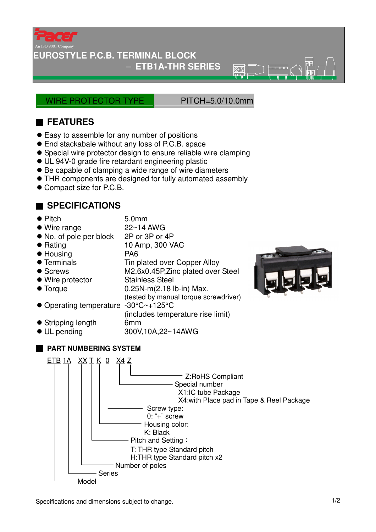

## **IROSTYLE P.C.B. TERMINAL BLOCK**

− **ETB1A-THR SERIES** 

WIRE PROTECTOR TYPE PITCH=5.0/10.0mm

ক্কল

## ■ **FEATURES**

- Easy to assemble for any number of positions
- End stackabale without any loss of P.C.B. space
- Special wire protector design to ensure reliable wire clamping
- UL 94V-0 grade fire retardant engineering plastic
- Be capable of clamping a wide range of wire diameters
- THR components are designed for fully automated assembly
- Compact size for P.C.B.

## ■ **SPECIFICATIONS**

| $\bullet$ Pitch | 5.0 <sub>mm</sub> |
|-----------------|-------------------|
| $\sim$ $\cdots$ | .                 |

- Wire range 22~14 AWG
- No. of pole per block 2P or 3P or 4P ● Rating 10 Amp, 300 VAC
- 
- Housing PA6
- Terminals Tin plated over Copper Alloy
- Screws M2.6x0.45P,Zinc plated over Steel
- Wire protector Stainless Steel
- $\bullet$  Torque  $0.25N-m(2.18$  lb-in) Max.
- (tested by manual torque screwdriver)
- Operating temperature -30°C~+125°C

(includes temperature rise limit)

- 
- **•** Stripping length 6mm<br>• UL pending 600V UL pending 300V,10A,22~14AWG



## ■ **PART NUMBERING SYSTEM**